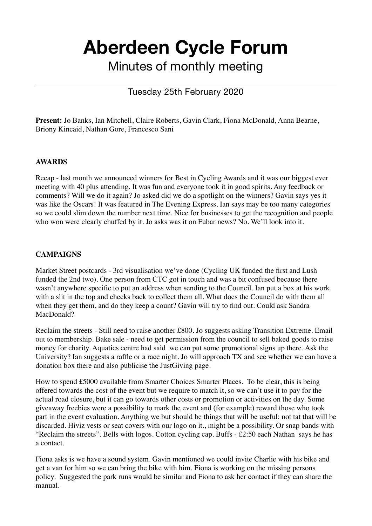# **Aberdeen Cycle Forum**

Minutes of monthly meeting

## Tuesday 25th February 2020

**Present:** Jo Banks, Ian Mitchell, Claire Roberts, Gavin Clark, Fiona McDonald, Anna Bearne, Briony Kincaid, Nathan Gore, Francesco Sani

#### **AWARDS**

Recap - last month we announced winners for Best in Cycling Awards and it was our biggest ever meeting with 40 plus attending. It was fun and everyone took it in good spirits. Any feedback or comments? Will we do it again? Jo asked did we do a spotlight on the winners? Gavin says yes it was like the Oscars! It was featured in The Evening Express. Ian says may be too many categories so we could slim down the number next time. Nice for businesses to get the recognition and people who won were clearly chuffed by it. Jo asks was it on Fubar news? No. We'll look into it.

#### **CAMPAIGNS**

Market Street postcards - 3rd visualisation we've done (Cycling UK funded the first and Lush funded the 2nd two). One person from CTC got in touch and was a bit confused because there wasn't anywhere specific to put an address when sending to the Council. Ian put a box at his work with a slit in the top and checks back to collect them all. What does the Council do with them all when they get them, and do they keep a count? Gavin will try to find out. Could ask Sandra MacDonald?

Reclaim the streets - Still need to raise another £800. Jo suggests asking Transition Extreme. Email out to membership. Bake sale - need to get permission from the council to sell baked goods to raise money for charity. Aquatics centre had said we can put some promotional signs up there. Ask the University? Ian suggests a raffle or a race night. Jo will approach TX and see whether we can have a donation box there and also publicise the JustGiving page.

How to spend £5000 available from Smarter Choices Smarter Places. To be clear, this is being offered towards the cost of the event but we require to match it, so we can't use it to pay for the actual road closure, but it can go towards other costs or promotion or activities on the day. Some giveaway freebies were a possibility to mark the event and (for example) reward those who took part in the event evaluation. Anything we but should be things that will be useful: not tat that will be discarded. Hiviz vests or seat covers with our logo on it., might be a possibility. Or snap bands with "Reclaim the streets". Bells with logos. Cotton cycling cap. Buffs - £2:50 each Nathan says he has a contact.

Fiona asks is we have a sound system. Gavin mentioned we could invite Charlie with his bike and get a van for him so we can bring the bike with him. Fiona is working on the missing persons policy. Suggested the park runs would be similar and Fiona to ask her contact if they can share the manual.